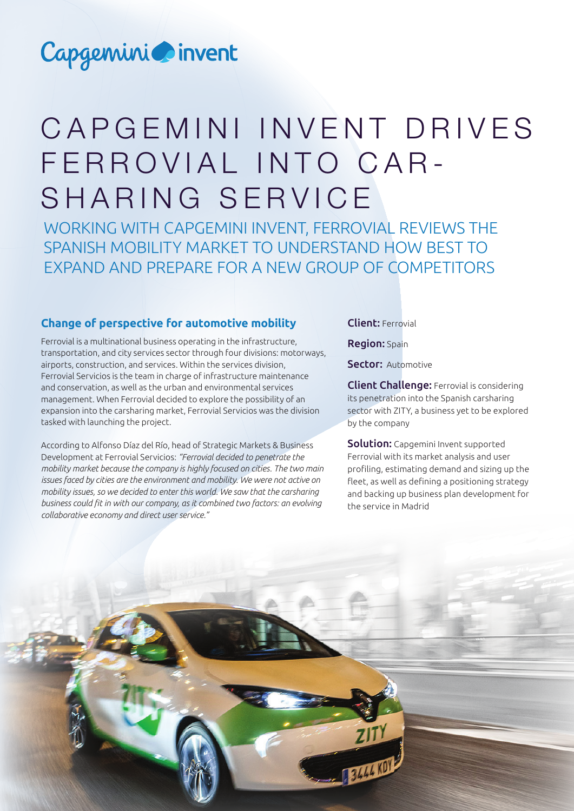## Capgemini invent

# CAP GEMINI INVENT DRIVES FERROVIAL INTO CAR - SHARING SERVICE

WORKING WITH CAPGEMINI INVENT, FERROVIAL REVIEWS THE SPANISH MOBILITY MARKET TO UNDERSTAND HOW BEST TO EXPAND AND PREPARE FOR A NEW GROUP OF COMPETITORS

## **Change of perspective for automotive mobility**

Ferrovial is a multinational business operating in the infrastructure, transportation, and city services sector through four divisions: motorways, airports, construction, and services. Within the services division, Ferrovial Servicios is the team in charge of infrastructure maintenance and conservation, as well as the urban and environmental services management. When Ferrovial decided to explore the possibility of an expansion into the carsharing market, Ferrovial Servicios was the division tasked with launching the project.

According to Alfonso Díaz del Río, head of Strategic Markets & Business Development at Ferrovial Servicios: *"Ferrovial decided to penetrate the mobility market because the company is highly focused on cities. The two main issues faced by cities are the environment and mobility. We were not active on mobility issues, so we decided to enter this world. We saw that the carsharing business could fit in with our company, as it combined two factors: an evolving collaborative economy and direct user service."*

## Client: Ferrovial

Region: Spain

Sector: Automotive

Client Challenge: Ferrovial is considering its penetration into the Spanish carsharing sector with ZITY, a business yet to be explored by the company

Solution: Capgemini Invent supported Ferrovial with its market analysis and user profiling, estimating demand and sizing up the fleet, as well as defining a positioning strategy and backing up business plan development for the service in Madrid